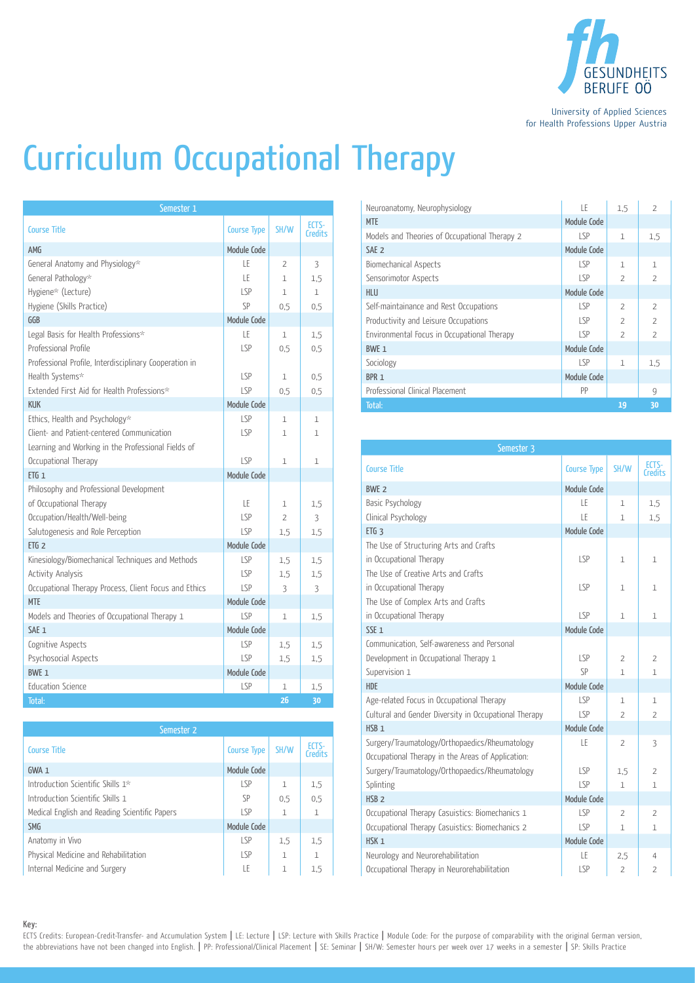

University of Applied Sciences for Health Professions Upper Austria

## Curriculum Occupational Therapy

| Semester 1                                             |                    |                |                  |  |
|--------------------------------------------------------|--------------------|----------------|------------------|--|
| Course Title                                           | <b>Course Type</b> | SH/W           | ECTS-<br>Credits |  |
| <b>AMG</b>                                             | Module Code        |                |                  |  |
| General Anatomy and Physiology*                        | ΙF                 | $\overline{2}$ | 3                |  |
| General Pathology*                                     | LE                 | $\mathbf{1}$   | 1,5              |  |
| Hygiene* (Lecture)                                     | LSP                | $\mathbf{1}$   | $\mathbf{1}$     |  |
| Hygiene (Skills Practice)                              | SP                 | 0.5            | 0.5              |  |
| GGB                                                    | Module Code        |                |                  |  |
| Legal Basis for Health Professions*                    | ΙF                 | $\mathbf 1$    | 1.5              |  |
| Professional Profile                                   | LSP                | 0.5            | 0.5              |  |
| Professional Profile, Interdisciplinary Cooperation in |                    |                |                  |  |
| Health Systems*                                        | <b>LSP</b>         | $\mathbf 1$    | 0.5              |  |
| Extended First Aid for Health Professions*             | LSP                | 0,5            | 0,5              |  |
| <b>KUK</b>                                             | Module Code        |                |                  |  |
| Ethics, Health and Psychology*                         | LSP                | $\mathbf{1}$   | 1                |  |
| Client- and Patient-centered Communication             | LSP                | $\mathbf{1}$   | 1                |  |
| Learning and Working in the Professional Fields of     |                    |                |                  |  |
| Occupational Therapy                                   | LSP                | $\mathbf{1}$   | 1                |  |
| $ETG_1$                                                | Module Code        |                |                  |  |
| Philosophy and Professional Development                |                    |                |                  |  |
| of Occupational Therapy                                | LE                 | $\mathbf{1}$   | 1,5              |  |
| Occupation/Health/Well-being                           | LSP                | $\overline{2}$ | 3                |  |
| Salutogenesis and Role Perception                      | LSP                | 1.5            | 1,5              |  |
| ETG <sub>2</sub>                                       | Module Code        |                |                  |  |
| Kinesiology/Biomechanical Techniques and Methods       | LSP                | 1,5            | 1,5              |  |
| Activity Analysis                                      | LSP                | 1.5            | 1,5              |  |
| Occupational Therapy Process, Client Focus and Ethics  | SP                 | 3              | 3                |  |
| <b>MTE</b>                                             | Module Code        |                |                  |  |
| Models and Theories of Occupational Therapy 1          | LSP                | $\mathbf{1}$   | 1,5              |  |
| SAE <sub>1</sub>                                       | Module Code        |                |                  |  |
| Cognitive Aspects                                      | <b>LSP</b>         | 1,5            | 1,5              |  |
| Psychosocial Aspects                                   | LSP                | 1.5            | 1.5              |  |
| <b>BWF 1</b>                                           | Module Code        |                |                  |  |
| <b>Education Science</b>                               | <b>LSP</b>         | 1              | 1,5              |  |
| Total:                                                 |                    | 26             | 30               |  |

| Semester 2                                    |                    |              |                        |  |  |
|-----------------------------------------------|--------------------|--------------|------------------------|--|--|
| <b>Course Title</b>                           | <b>Course Type</b> | SH/W         | <b>FCTS</b><br>Credits |  |  |
| $GWA_1$                                       | Module Code        |              |                        |  |  |
| Introduction Scientific Skills 1*             | LSP                | $\mathbf{1}$ | 1,5                    |  |  |
| Introduction Scientific Skills 1              | <b>SP</b>          | 0,5          | 0.5                    |  |  |
| Medical English and Reading Scientific Papers | LSP                | $\mathbf{1}$ | $\mathbf{1}$           |  |  |
| <b>SMG</b>                                    | Module Code        |              |                        |  |  |
| Anatomy in Vivo                               | LSP                | 1,5          | 1,5                    |  |  |
| Physical Medicine and Rehabilitation          | LSP                | 1            | $\mathbf{1}$           |  |  |
| Internal Medicine and Surgery                 | LE                 | $\mathbf{1}$ | 1.5                    |  |  |

| Neuroanatomy, Neurophysiology                 | LE          | 1.5                      | $\overline{2}$           |
|-----------------------------------------------|-------------|--------------------------|--------------------------|
| <b>MTE</b>                                    | Module Code |                          |                          |
| Models and Theories of Occupational Therapy 2 | LSP         | $\mathbf{1}$             | 1,5                      |
| SAE <sub>2</sub>                              | Module Code |                          |                          |
| Biomechanical Aspects                         | $ S_P$      | $\mathbf{1}$             | $\mathbf{1}$             |
| Sensorimotor Aspects                          | LSP         | $\overline{\phantom{a}}$ | $\overline{2}$           |
| <b>HLU</b>                                    | Module Code |                          |                          |
| Self-maintainance and Rest Occupations        | LSP         | $\overline{\phantom{0}}$ | $\overline{z}$           |
| Productivity and Leisure Occupations          | LSP         | $\overline{\phantom{0}}$ | $\overline{\phantom{a}}$ |
| Environmental Focus in Occupational Therapy   | LSP         | $\overline{\phantom{a}}$ | $\overline{2}$           |
| BWE 1                                         | Module Code |                          |                          |
| Sociology                                     | LSP         | $\mathbf{1}$             | 1,5                      |
| BPR <sub>1</sub>                              | Module Code |                          |                          |
| Professional Clinical Placement               | PP          |                          | 9                        |
| Total:                                        |             | 19                       | 30                       |

| Semester 3                                            |                    |                |                  |  |
|-------------------------------------------------------|--------------------|----------------|------------------|--|
| <b>Course Title</b>                                   | <b>Course Type</b> | SH/W           | ECTS-<br>Credits |  |
| <b>BWE 2</b>                                          | Module Code        |                |                  |  |
| Basic Psychology                                      | LE                 | $\mathbf{1}$   | 1,5              |  |
| Clinical Psychology                                   | LE                 | 1              | 1,5              |  |
| ETG <sub>3</sub>                                      | Module Code        |                |                  |  |
| The Use of Structuring Arts and Crafts                |                    |                |                  |  |
| in Occupational Therapy                               | LSP                | $\mathbf{1}$   | 1                |  |
| The Use of Creative Arts and Crafts                   |                    |                |                  |  |
| in Occupational Therapy                               | LSP                | $\mathbf{1}$   | 1                |  |
| The Use of Complex Arts and Crafts                    |                    |                |                  |  |
| in Occupational Therapy                               | LSP                | $\mathbf{1}$   | 1                |  |
| SSE <sub>1</sub>                                      | Module Code        |                |                  |  |
| Communication, Self-awareness and Personal            |                    |                |                  |  |
| Development in Occupational Therapy 1                 | LSP                | $\overline{2}$ | $\overline{2}$   |  |
| Supervision 1                                         | SP                 | $\mathbf{1}$   | $\mathbf{1}$     |  |
| <b>HDE</b>                                            | Module Code        |                |                  |  |
| Age-related Focus in Occupational Therapy             | LSP                | 1              | $\mathbf{1}$     |  |
| Cultural and Gender Diversity in Occupational Therapy | LSP                | $\overline{2}$ | 2                |  |
| HSB <sub>1</sub>                                      | Module Code        |                |                  |  |
| Surgery/Traumatology/Orthopaedics/Rheumatology        | LE                 | $\overline{2}$ | 3                |  |
| Occupational Therapy in the Areas of Application:     |                    |                |                  |  |
| Surgery/Traumatology/Orthopaedics/Rheumatology        | LSP                | 1,5            | 2                |  |
| Splinting                                             | LSP                | $\mathbf{1}$   | 1                |  |
| HSB <sub>2</sub>                                      | Module Code        |                |                  |  |
| Occupational Therapy Casuistics: Biomechanics 1       | LSP                | $\overline{2}$ | $\overline{2}$   |  |
| Occupational Therapy Casuistics: Biomechanics 2       | LSP                | 1              | 1                |  |
| HSK <sub>1</sub>                                      | Module Code        |                |                  |  |
| Neurology and Neurorehabilitation                     | LE                 | 2,5            | 4                |  |
| Occupational Therapy in Neurorehabilitation           | LSP                | 2              | $\overline{2}$   |  |

Key:

ECTS Credits: European-Credit-Transfer- and Accumulation System | LE: Lecture | LSP: Lecture with Skills Practice | Module Code: For the purpose of comparability with the original German version, the abbreviations have not been changed into English. | PP: Professional/Clinical Placement | SE: Seminar | SH/W: Semester hours per week over 17 weeks in a semester | SP: Skills Practice